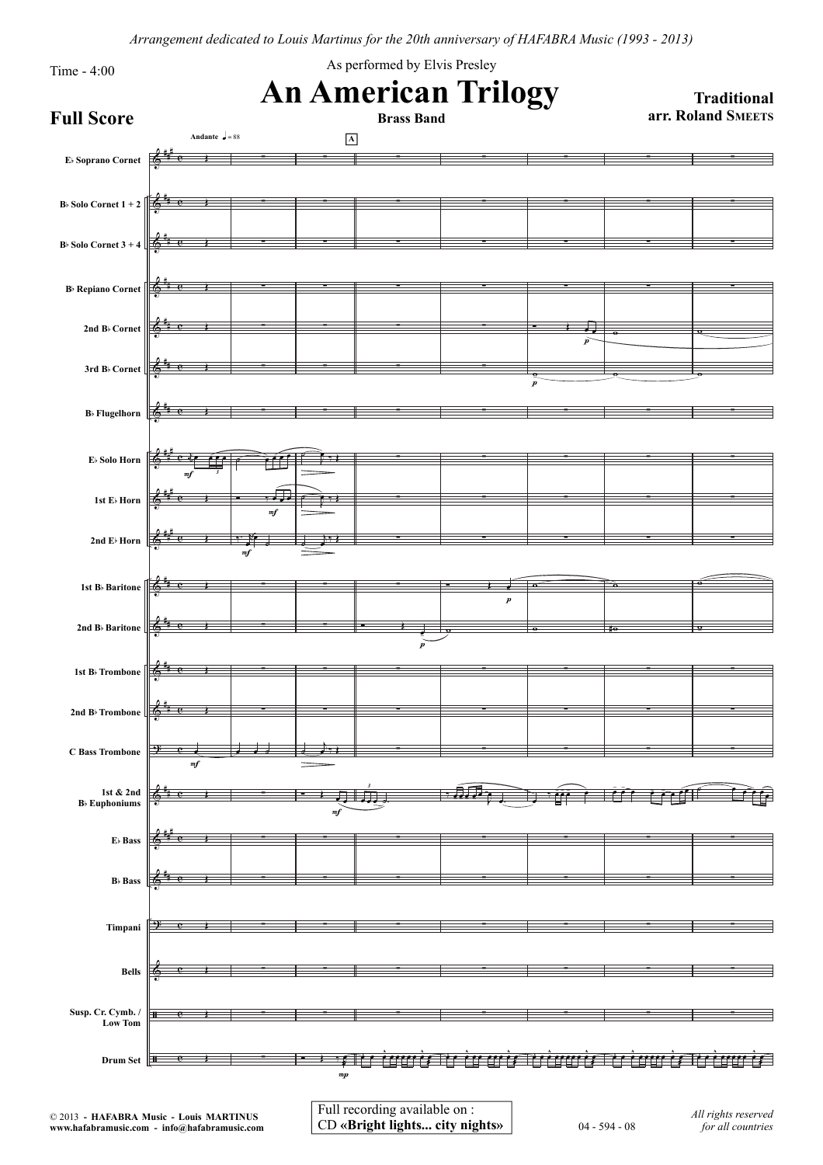Time - 4:00

## As performed by Elvis Presley

## **An American Trilogy Brass Band**

**Traditional arr. Roland SMEETS**

| <b>Full Score</b>                                                                                             |                     |                            |          |                      | <b>Brass Band</b> |           | $\boldsymbol{\sim}$ | arr. Roland SMEETS |  |
|---------------------------------------------------------------------------------------------------------------|---------------------|----------------------------|----------|----------------------|-------------------|-----------|---------------------|--------------------|--|
|                                                                                                               |                     | Andante $\frac{1}{2} = 88$ |          | $\boxed{\mathbf{A}}$ |                   |           |                     |                    |  |
| E Soprano Cornet                                                                                              |                     |                            |          |                      |                   |           |                     |                    |  |
| B <sub>b</sub> Solo Cornet $1+2$                                                                              |                     |                            |          |                      |                   |           |                     |                    |  |
| B <sup>b</sup> Solo Cornet $3 + 4$                                                                            |                     |                            |          |                      |                   |           |                     |                    |  |
| <b>B</b> Repiano Cornet                                                                                       |                     |                            |          |                      |                   |           |                     |                    |  |
|                                                                                                               |                     |                            |          |                      |                   |           |                     |                    |  |
| 2nd $B$ Cornet                                                                                                |                     |                            |          |                      |                   |           |                     |                    |  |
| 3rd B <sub>b</sub> Cornet                                                                                     |                     |                            |          |                      |                   |           | $\boldsymbol{p}$    |                    |  |
| $\mathbf{B}\flat$ Flugelhorn                                                                                  |                     |                            |          |                      |                   |           |                     |                    |  |
| $\mathbf{E}$ <sup>b</sup> Solo Horn                                                                           |                     |                            |          |                      |                   |           |                     |                    |  |
| 1st E> Horn                                                                                                   |                     |                            |          |                      |                   |           |                     |                    |  |
|                                                                                                               |                     |                            | m f      |                      |                   |           |                     |                    |  |
| 2nd $\mathbf{E}\flat$ Horn                                                                                    |                     |                            | $\it mf$ |                      |                   |           |                     |                    |  |
| $1$ st B $\flat$ Baritone                                                                                     |                     |                            |          |                      |                   | $\pmb{p}$ |                     |                    |  |
| 2nd B <sub>b</sub> Baritone                                                                                   |                     |                            |          |                      |                   |           |                     | Ţе                 |  |
| 1st $\mathbf{B}\flat$ Trombone                                                                                |                     |                            |          |                      |                   |           |                     |                    |  |
|                                                                                                               |                     |                            |          |                      |                   |           |                     |                    |  |
| 2nd B <sub>b</sub> Trombone                                                                                   |                     |                            |          |                      |                   |           |                     |                    |  |
| $\mathbf C$ Bass Trombone                                                                                     | mf                  |                            |          |                      |                   |           |                     |                    |  |
| $\begin{array}{c} \text{1st} \ \& \ 2 \text{n} \text{d} \\ \text{B} \text{b} \ \text{Euphoniums} \end{array}$ |                     |                            |          | mf                   |                   |           |                     |                    |  |
| $E \triangleright$ Bass                                                                                       |                     |                            |          |                      |                   |           |                     |                    |  |
| $\mathbf{B} \flat$ Bass                                                                                       |                     |                            |          |                      |                   |           |                     |                    |  |
|                                                                                                               |                     |                            |          |                      |                   |           |                     |                    |  |
| Timpani                                                                                                       |                     |                            |          |                      |                   |           |                     |                    |  |
| <b>Bells</b>                                                                                                  |                     |                            |          |                      |                   |           |                     |                    |  |
| Susp. Cr. Cymb. /<br>Low Tom                                                                                  | $\blacksquare$<br>a |                            |          |                      |                   |           |                     |                    |  |
| Drum Set                                                                                                      | 匨                   |                            |          |                      |                   |           |                     |                    |  |
|                                                                                                               |                     |                            |          | $\it mp$             |                   |           |                     |                    |  |

 Full recording available on : CD **«Bright lights... city nights»**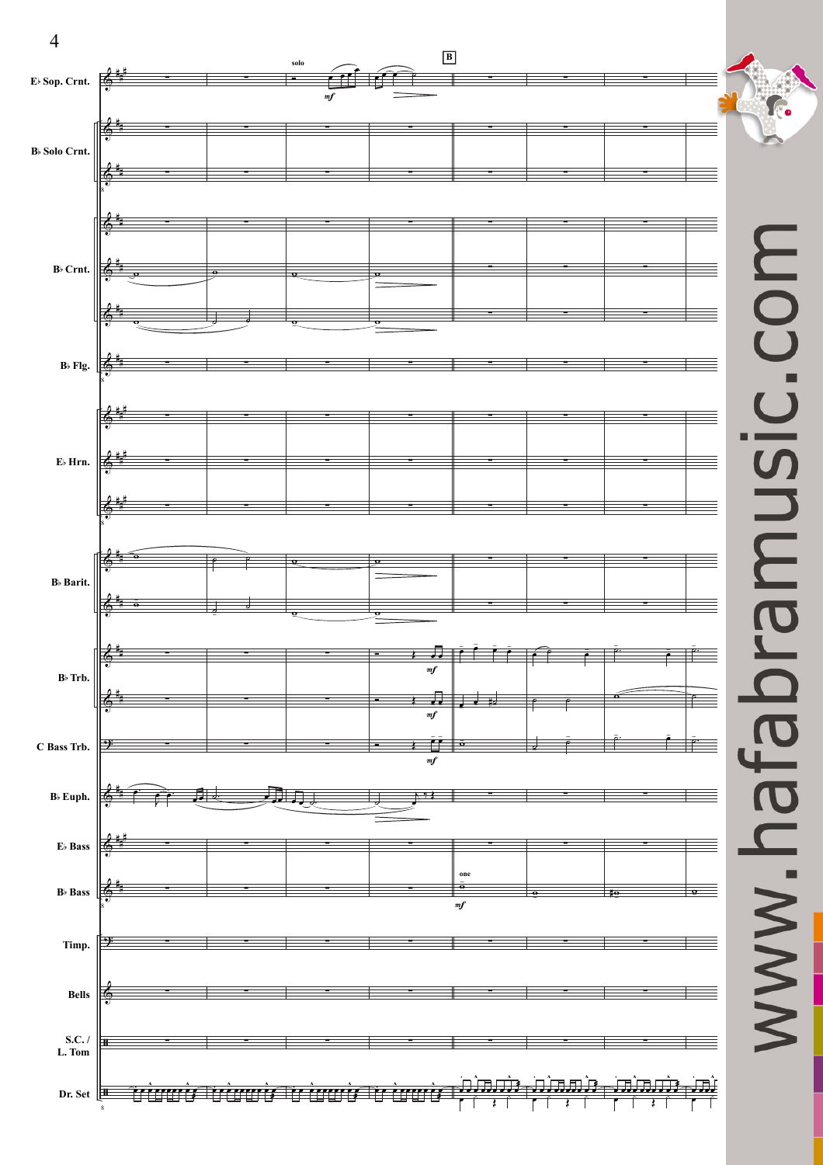

WW.l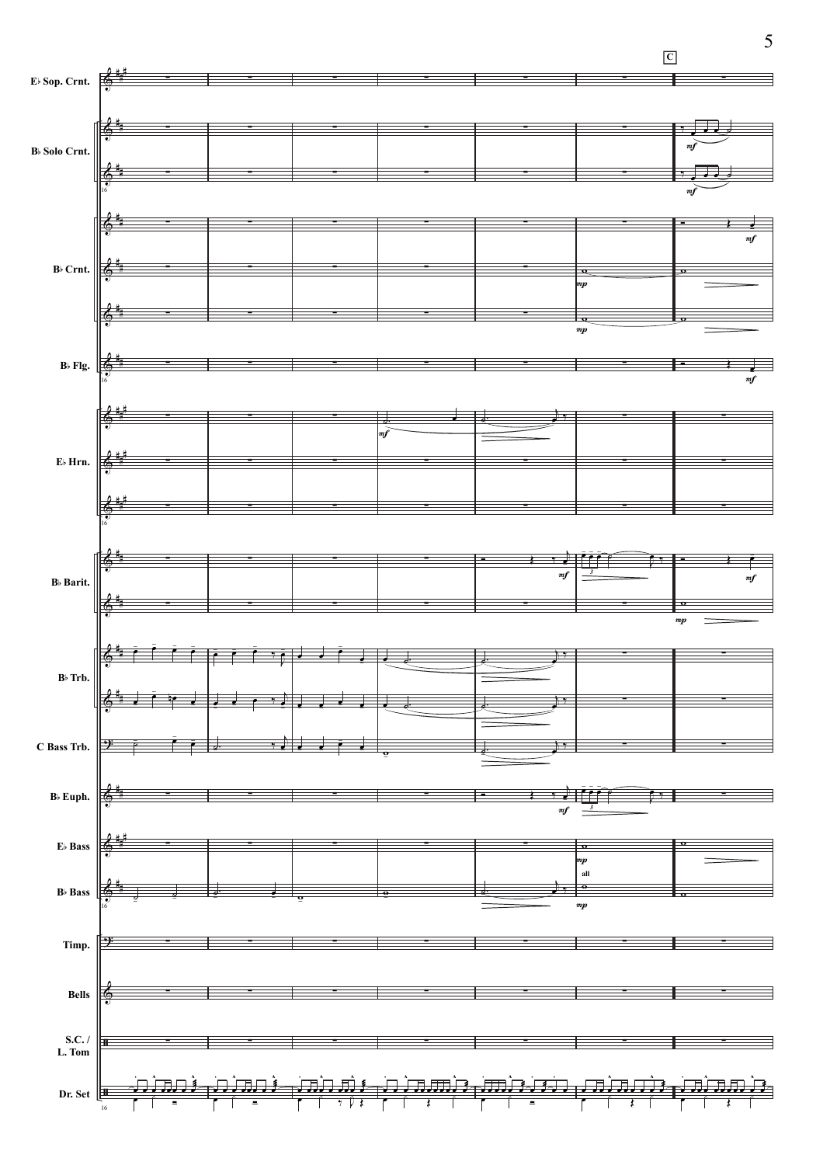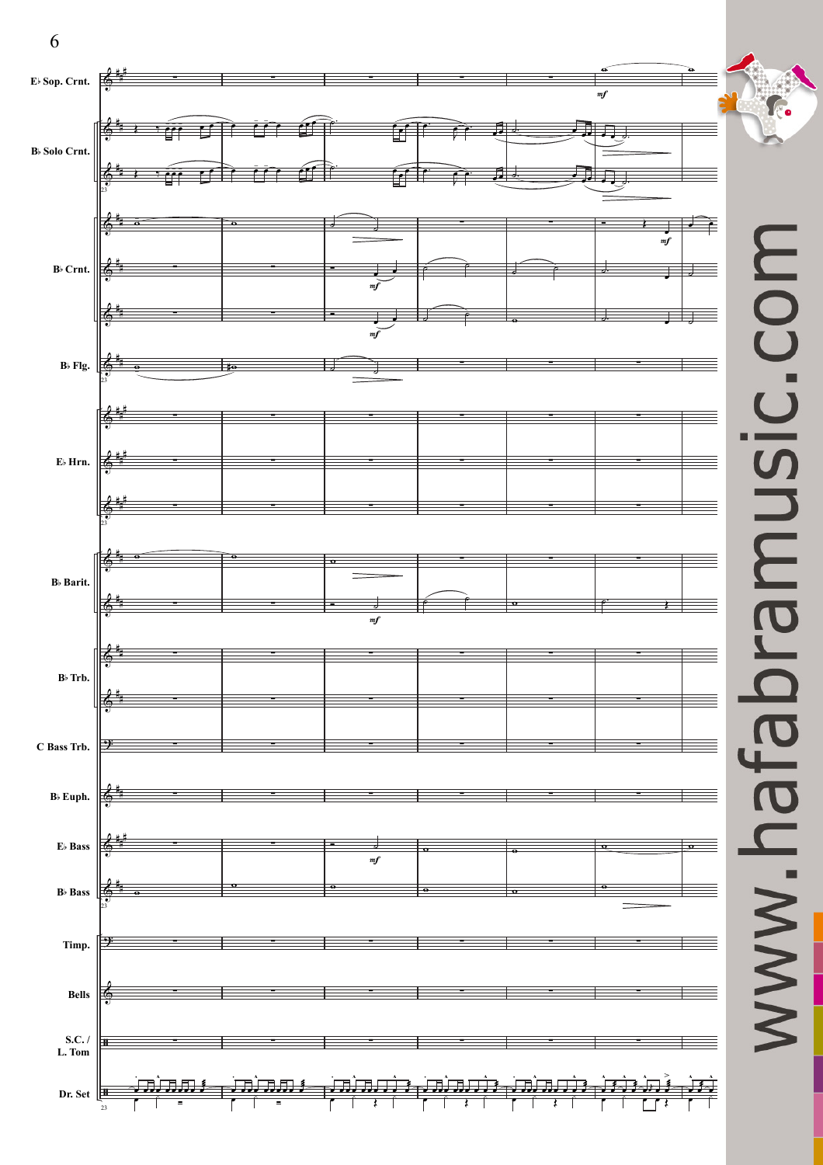

NW-I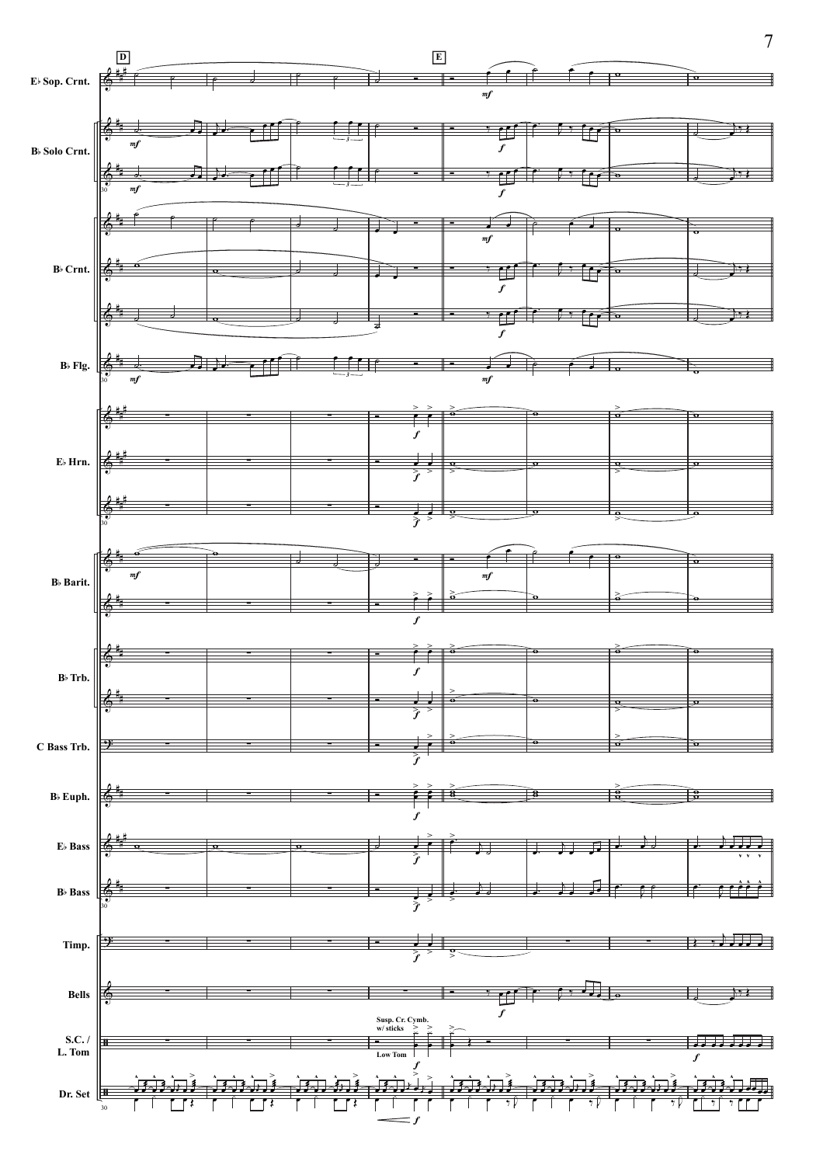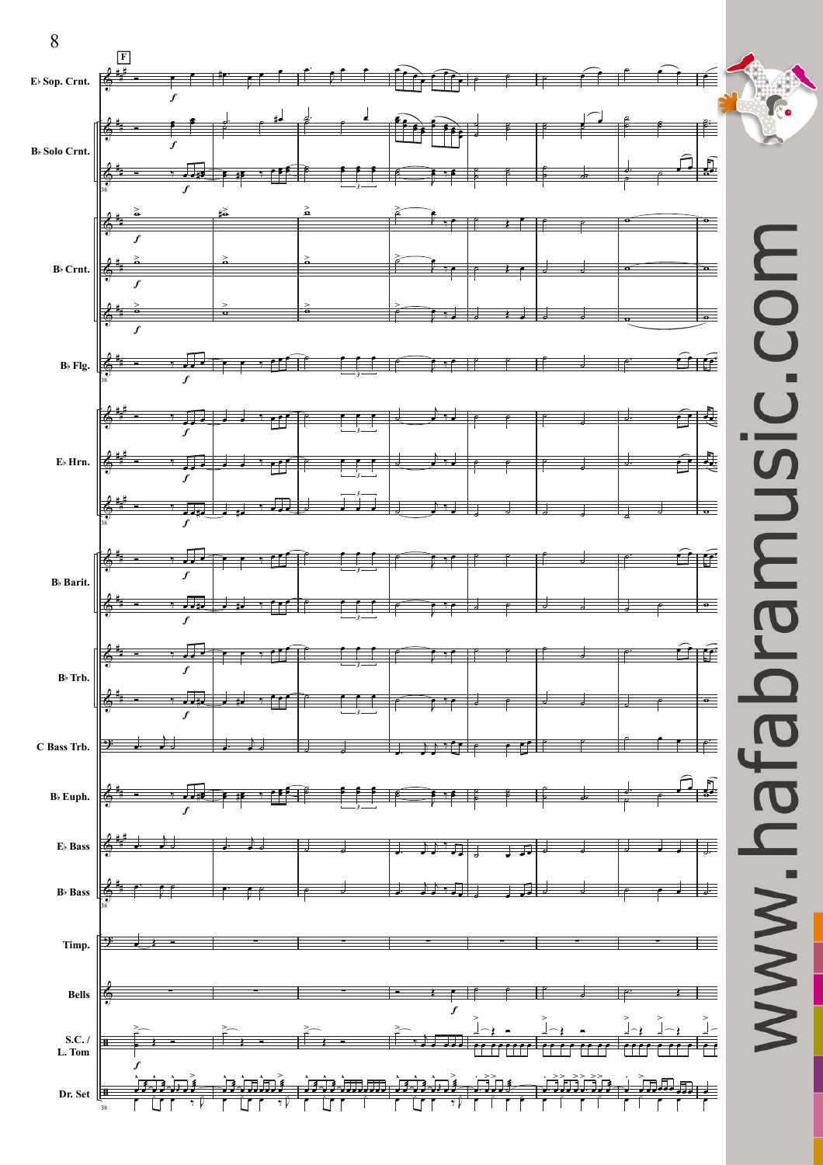

USIC.COM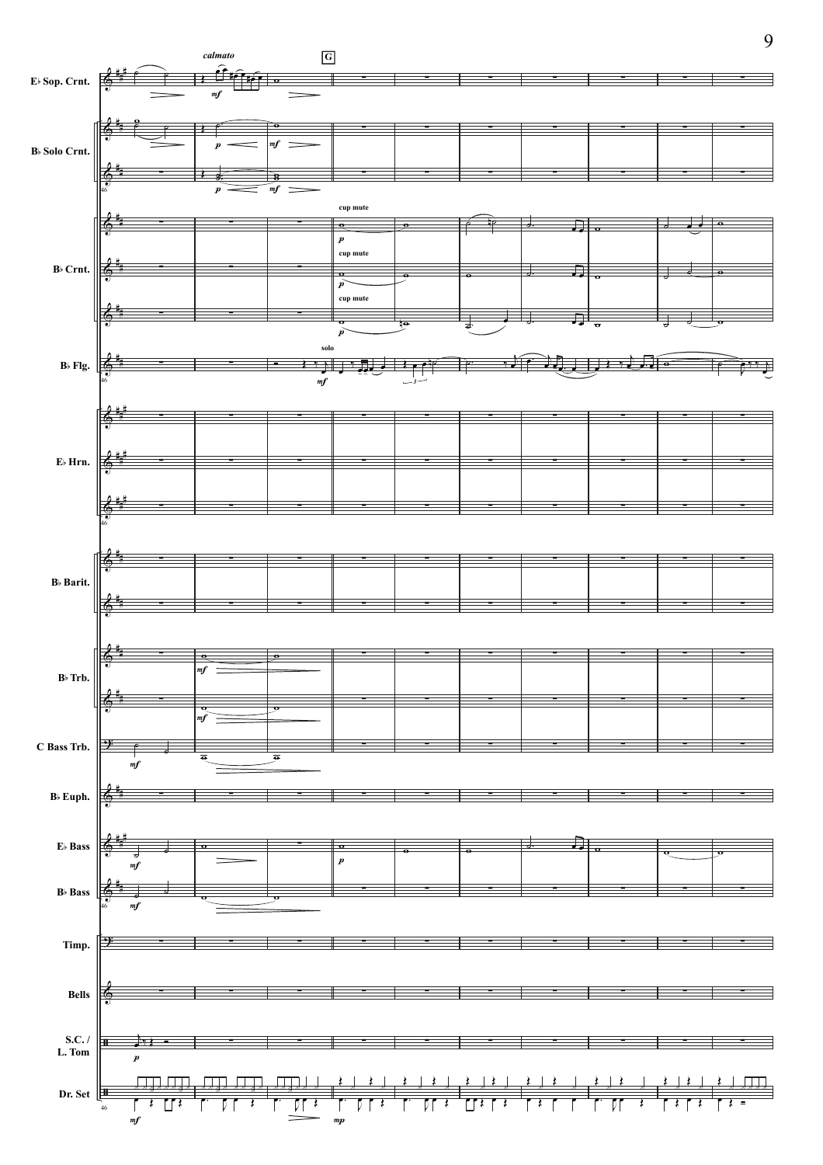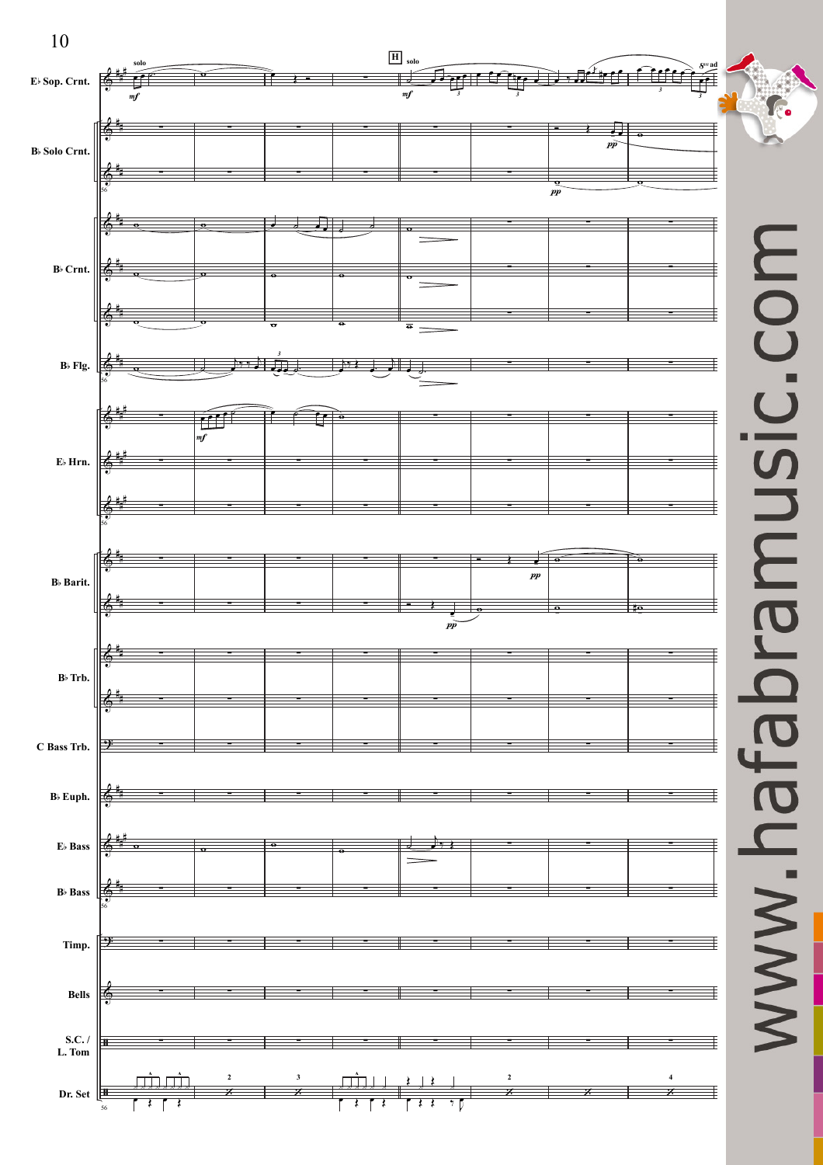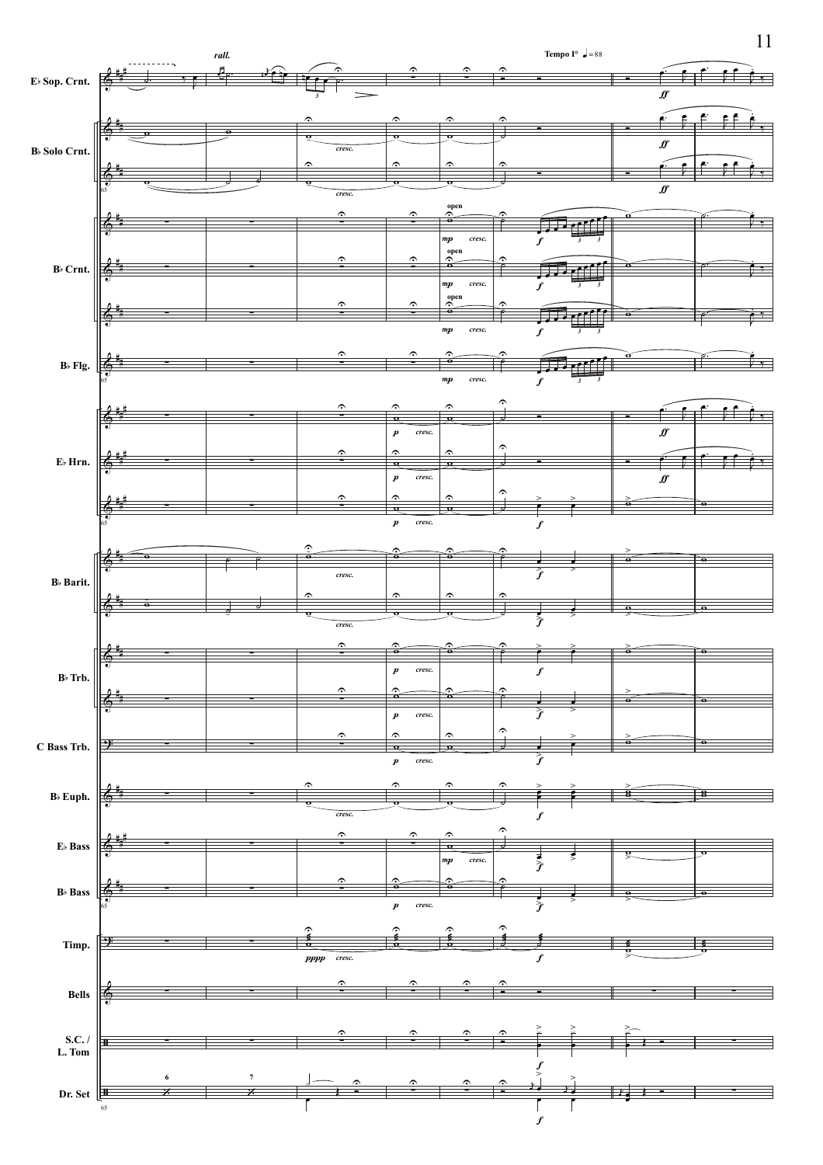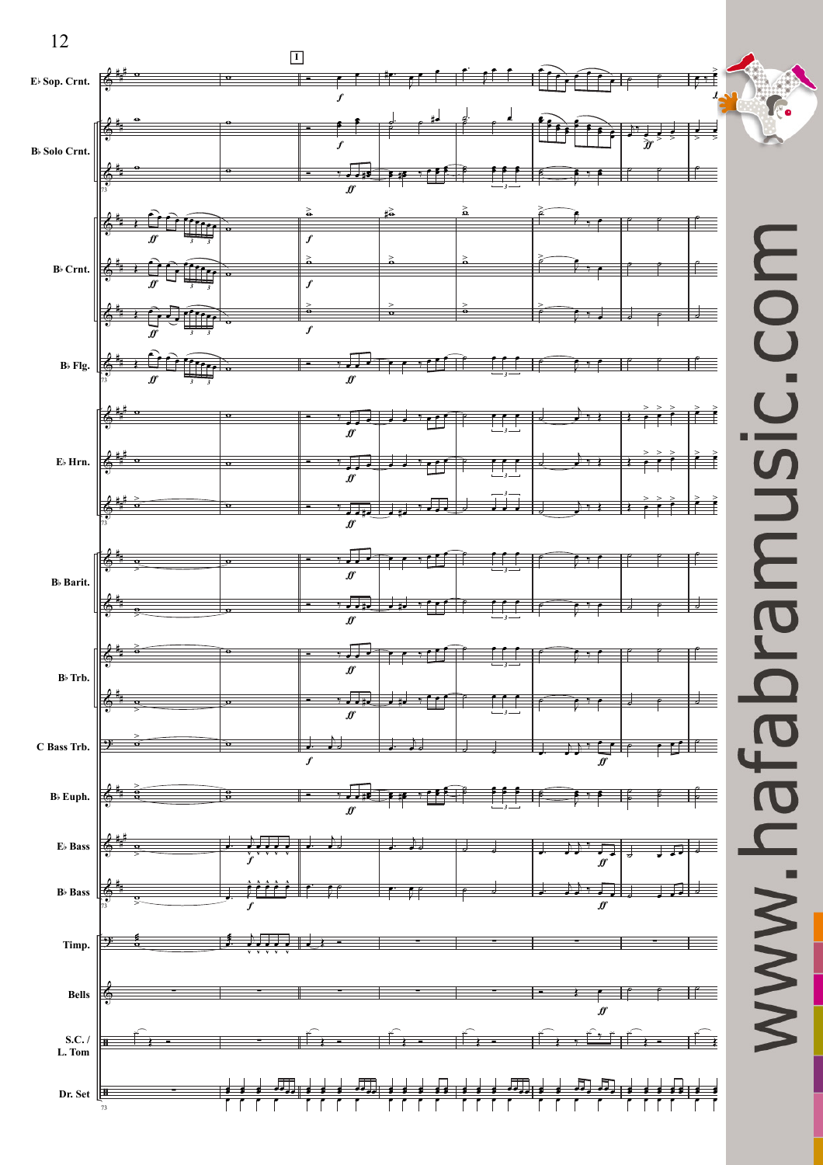

WW.I